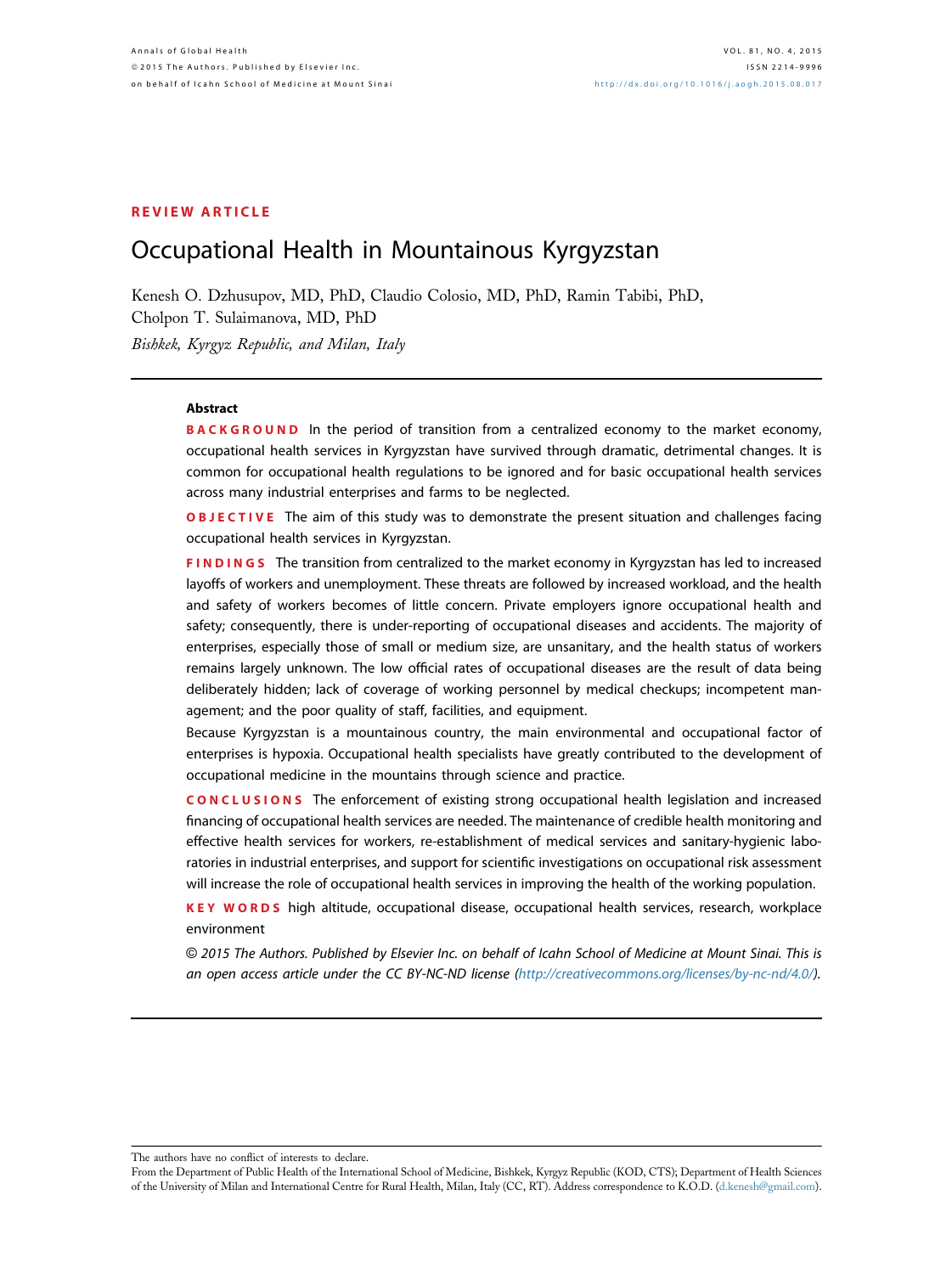### REVIEW ARTICLE

# Occupational Health in Mountainous Kyrgyzstan

Kenesh O. Dzhusupov, MD, PhD, Claudio Colosio, MD, PhD, Ramin Tabibi, PhD, Cholpon T. Sulaimanova, MD, PhD Bishkek, Kyrgyz Republic, and Milan, Italy

#### Abstract

**BACKGROUND** In the period of transition from a centralized economy to the market economy, occupational health services in Kyrgyzstan have survived through dramatic, detrimental changes. It is common for occupational health regulations to be ignored and for basic occupational health services across many industrial enterprises and farms to be neglected.

**OBJECTIVE** The aim of this study was to demonstrate the present situation and challenges facing occupational health services in Kyrgyzstan.

FINDINGS The transition from centralized to the market economy in Kyrgyzstan has led to increased layoffs of workers and unemployment. These threats are followed by increased workload, and the health and safety of workers becomes of little concern. Private employers ignore occupational health and safety; consequently, there is under-reporting of occupational diseases and accidents. The majority of enterprises, especially those of small or medium size, are unsanitary, and the health status of workers remains largely unknown. The low official rates of occupational diseases are the result of data being deliberately hidden; lack of coverage of working personnel by medical checkups; incompetent management; and the poor quality of staff, facilities, and equipment.

Because Kyrgyzstan is a mountainous country, the main environmental and occupational factor of enterprises is hypoxia. Occupational health specialists have greatly contributed to the development of occupational medicine in the mountains through science and practice.

CONCLUSIONS The enforcement of existing strong occupational health legislation and increased financing of occupational health services are needed. The maintenance of credible health monitoring and effective health services for workers, re-establishment of medical services and sanitary-hygienic laboratories in industrial enterprises, and support for scientific investigations on occupational risk assessment will increase the role of occupational health services in improving the health of the working population.

KEY WORDS high altitude, occupational disease, occupational health services, research, workplace environment

© 2015 The Authors. Published by Elsevier Inc. on behalf of Icahn School of Medicine at Mount Sinai. This is an open access article under the CC BY-NC-ND license ([http://creativecommons.org/licenses/by-nc-nd/4.0/](http://creativecommons.org/licenses/by-nc-nd/4.�0/)).

The authors have no conflict of interests to declare.

From the Department of Public Health of the International School of Medicine, Bishkek, Kyrgyz Republic (KOD, CTS); Department of Health Sciences of the University of Milan and International Centre for Rural Health, Milan, Italy (CC, RT). Address correspondence to K.O.D. [\(d.kenesh@gmail.com](mailto:d.kenesh@gmail.com)).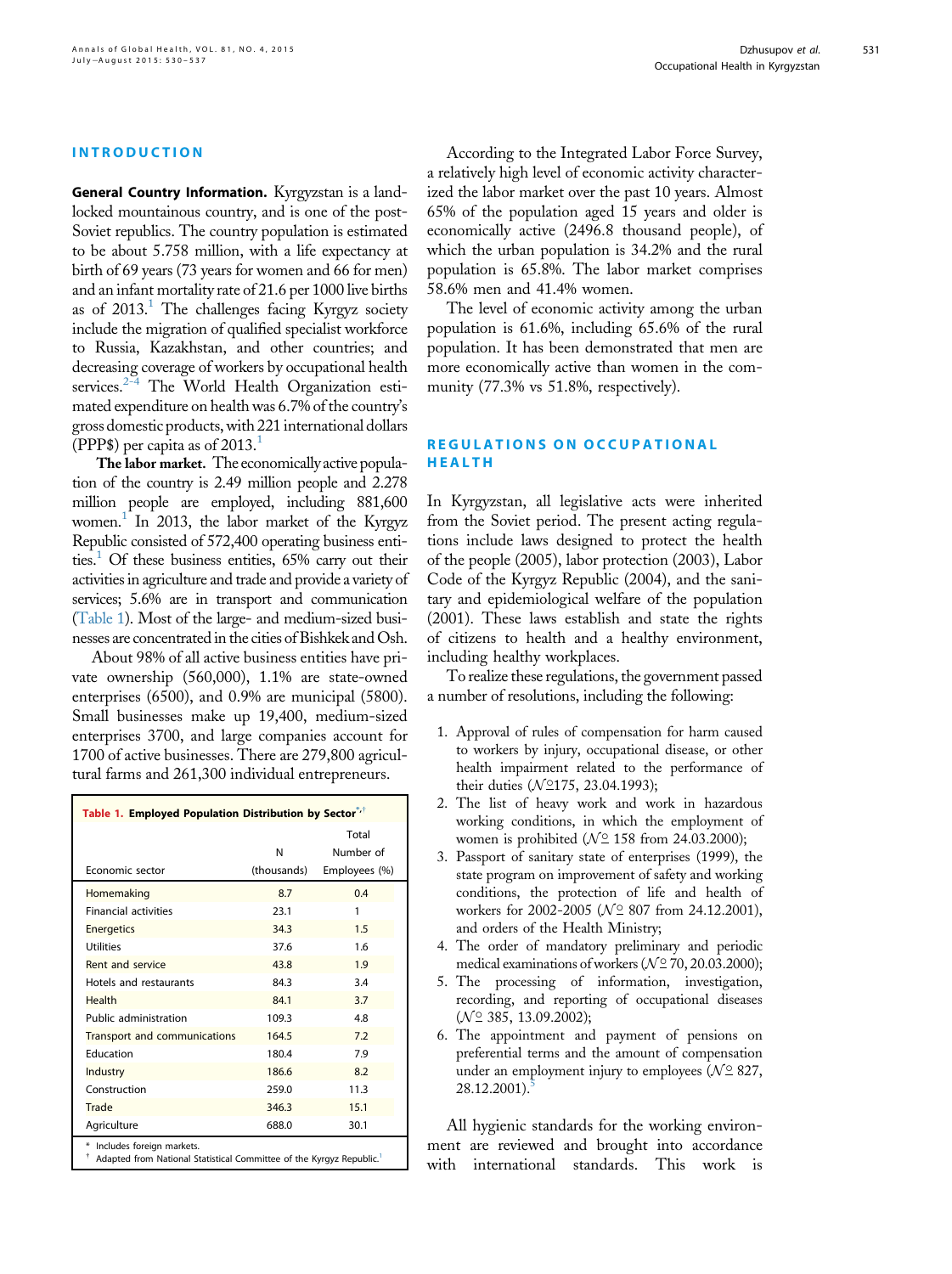#### INTRODUCTION

General Country Information. Kyrgyzstan is a landlocked mountainous country, and is one of the post-Soviet republics. The country population is estimated to be about 5.758 million, with a life expectancy at birth of 69 years (73 years for women and 66 for men) and an infant mortality rate of 21.6 per 1000 live births as of  $2013$ .<sup>1</sup> The challenges facing Kyrgyz society include the migration of qualified specialist workforce to Russia, Kazakhstan, and other countries; and decreasing coverage of workers by occupational health services.<sup>[2-4](#page-6-0)</sup> The World Health Organization estimated expenditure on health was 6.7% of the country's gross domestic products, with 221 international dollars (PPP\$) per capita as of 20[1](#page-6-0)3.<sup>1</sup>

The labor market. The economically active population of the country is 2.49 million people and 2.278 million people are employed, including 881,600 women.<sup>[1](#page-6-0)</sup> In 2013, the labor market of the Kyrgyz Republic consisted of 572,400 operating business entities.<sup>1</sup> Of these business entities,  $65\%$  carry out their activities in agriculture and trade and provide a variety of services; 5.6% are in transport and communication (Table 1). Most of the large- and medium-sized businesses are concentrated in the cities of Bishkek and Osh.

About 98% of all active business entities have private ownership (560,000), 1.1% are state-owned enterprises (6500), and 0.9% are municipal (5800). Small businesses make up 19,400, medium-sized enterprises 3700, and large companies account for 1700 of active businesses. There are 279,800 agricultural farms and 261,300 individual entrepreneurs.

| Table 1. Employed Population Distribution by Sector"                                               |                  |                                     |
|----------------------------------------------------------------------------------------------------|------------------|-------------------------------------|
| Economic sector                                                                                    | N<br>(thousands) | Total<br>Number of<br>Employees (%) |
| Homemaking                                                                                         | 8.7              | 0.4                                 |
| <b>Financial activities</b>                                                                        | 23.1             | 1                                   |
| <b>Energetics</b>                                                                                  | 34.3             | 1.5                                 |
| <b>Utilities</b>                                                                                   | 37.6             | 1.6                                 |
| Rent and service                                                                                   | 43.8             | 1.9                                 |
| Hotels and restaurants                                                                             | 84.3             | 3.4                                 |
| Health                                                                                             | 84.1             | 3.7                                 |
| Public administration                                                                              | 109.3            | 4.8                                 |
| Transport and communications                                                                       | 164.5            | 7.2                                 |
| Education                                                                                          | 180.4            | 7.9                                 |
| Industry                                                                                           | 186.6            | 8.2                                 |
| Construction                                                                                       | 259.0            | 11.3                                |
| Trade                                                                                              | 346.3            | 15.1                                |
| Agriculture                                                                                        | 688.0            | 30.1                                |
| * Includes foreign markets.<br>Adapted from National Statistical Committee of the Kyrgyz Republic. |                  |                                     |

According to the Integrated Labor Force Survey, a relatively high level of economic activity characterized the labor market over the past 10 years. Almost 65% of the population aged 15 years and older is economically active (2496.8 thousand people), of which the urban population is 34.2% and the rural population is 65.8%. The labor market comprises 58.6% men and 41.4% women.

The level of economic activity among the urban population is 61.6%, including 65.6% of the rural population. It has been demonstrated that men are more economically active than women in the community (77.3% vs 51.8%, respectively).

# REGULATIONS ON OCCUPATIONAL HEALTH

In Kyrgyzstan, all legislative acts were inherited from the Soviet period. The present acting regulations include laws designed to protect the health of the people (2005), labor protection (2003), Labor Code of the Kyrgyz Republic (2004), and the sanitary and epidemiological welfare of the population (2001). These laws establish and state the rights of citizens to health and a healthy environment, including healthy workplaces.

To realize these regulations, the government passed a number of resolutions, including the following:

- 1. Approval of rules of compensation for harm caused to workers by injury, occupational disease, or other health impairment related to the performance of their duties ( $\mathcal{N}\cong$ 175, 23.04.1993);
- 2. The list of heavy work and work in hazardous working conditions, in which the employment of women is prohibited ( $\mathcal{N}\scriptstyle{\supseteq}$  158 from 24.03.2000);
- 3. Passport of sanitary state of enterprises (1999), the state program on improvement of safety and working conditions, the protection of life and health of workers for 2002-2005 ( $\mathcal{N}$  807 from 24.12.2001), and orders of the Health Ministry;
- 4. The order of mandatory preliminary and periodic medical examinations of workers ( $\mathcal{N}\scriptstyle{\supseteq}$  70, 20.03.2000);
- 5. The processing of information, investigation, recording, and reporting of occupational diseases  $(N \supseteq 385, 13.09.2002);$
- 6. The appointment and payment of pensions on preferential terms and the amount of compensation under an employment injury to employees ( $\mathcal{N} \subseteq$  827, 28.12.2001).[5](#page-7-0)

All hygienic standards for the working environment are reviewed and brought into accordance with international standards. This work is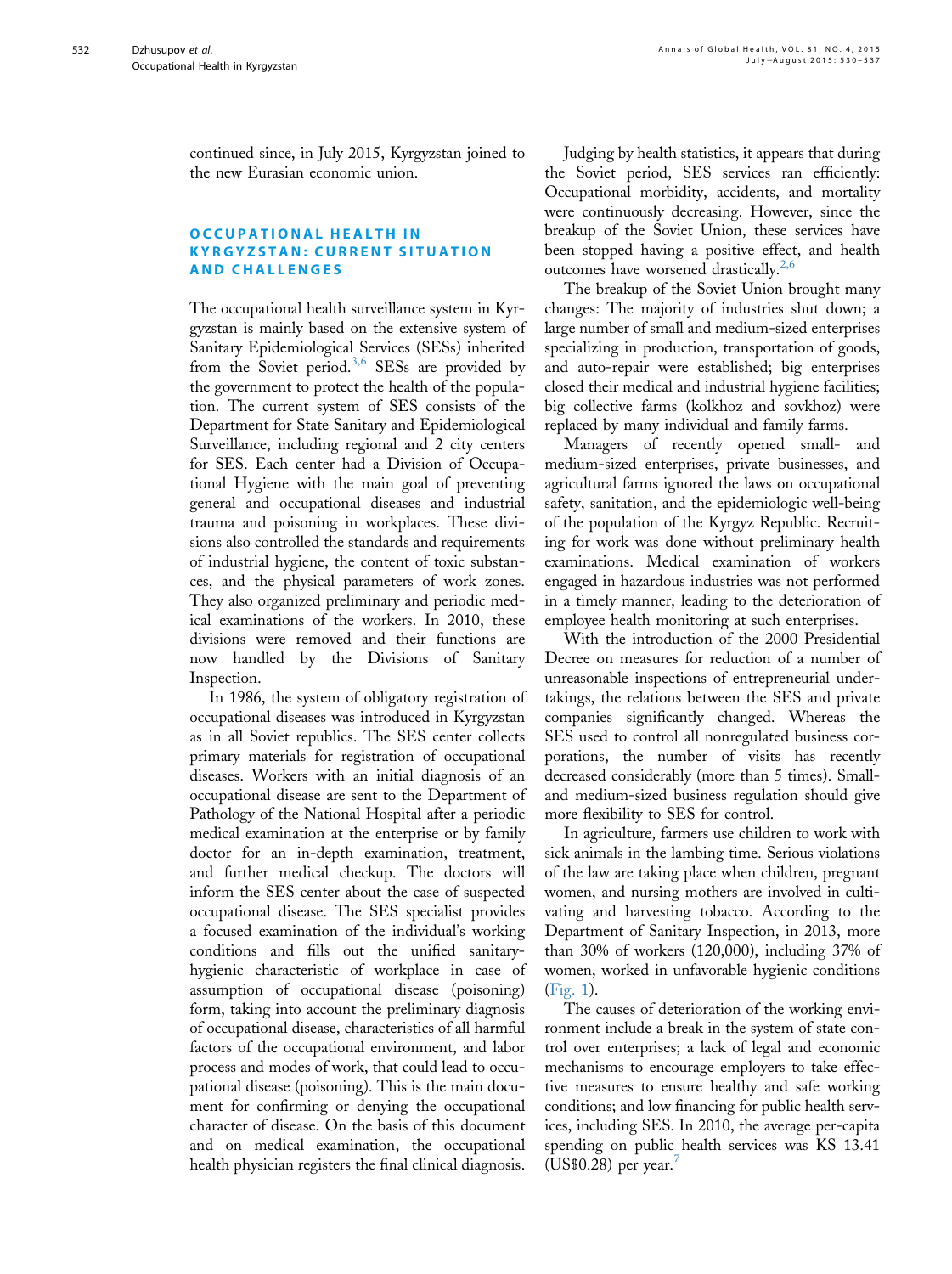continued since, in July 2015, Kyrgyzstan joined to the new Eurasian economic union.

#### OCCUPATIONAL HEALTH IN KYRGYZSTAN: CURRENT SITUATION AND CHALLENGES

The occupational health surveillance system in Kyrgyzstan is mainly based on the extensive system of Sanitary Epidemiological Services (SESs) inherited from the Soviet period.<sup>[3,6](#page-7-0)</sup> SESs are provided by the government to protect the health of the population. The current system of SES consists of the Department for State Sanitary and Epidemiological Surveillance, including regional and 2 city centers for SES. Each center had a Division of Occupational Hygiene with the main goal of preventing general and occupational diseases and industrial trauma and poisoning in workplaces. These divisions also controlled the standards and requirements of industrial hygiene, the content of toxic substances, and the physical parameters of work zones. They also organized preliminary and periodic medical examinations of the workers. In 2010, these divisions were removed and their functions are now handled by the Divisions of Sanitary Inspection.

In 1986, the system of obligatory registration of occupational diseases was introduced in Kyrgyzstan as in all Soviet republics. The SES center collects primary materials for registration of occupational diseases. Workers with an initial diagnosis of an occupational disease are sent to the Department of Pathology of the National Hospital after a periodic medical examination at the enterprise or by family doctor for an in-depth examination, treatment, and further medical checkup. The doctors will inform the SES center about the case of suspected occupational disease. The SES specialist provides a focused examination of the individual's working conditions and fills out the unified sanitaryhygienic characteristic of workplace in case of assumption of occupational disease (poisoning) form, taking into account the preliminary diagnosis of occupational disease, characteristics of all harmful factors of the occupational environment, and labor process and modes of work, that could lead to occupational disease (poisoning). This is the main document for confirming or denying the occupational character of disease. On the basis of this document and on medical examination, the occupational health physician registers the final clinical diagnosis.

Judging by health statistics, it appears that during the Soviet period, SES services ran efficiently: Occupational morbidity, accidents, and mortality were continuously decreasing. However, since the breakup of the Soviet Union, these services have been stopped having a positive effect, and health outcomes have worsened drastically.<sup>[2,6](#page-6-0)</sup>

The breakup of the Soviet Union brought many changes: The majority of industries shut down; a large number of small and medium-sized enterprises specializing in production, transportation of goods, and auto-repair were established; big enterprises closed their medical and industrial hygiene facilities; big collective farms (kolkhoz and sovkhoz) were replaced by many individual and family farms.

Managers of recently opened small- and medium-sized enterprises, private businesses, and agricultural farms ignored the laws on occupational safety, sanitation, and the epidemiologic well-being of the population of the Kyrgyz Republic. Recruiting for work was done without preliminary health examinations. Medical examination of workers engaged in hazardous industries was not performed in a timely manner, leading to the deterioration of employee health monitoring at such enterprises.

With the introduction of the 2000 Presidential Decree on measures for reduction of a number of unreasonable inspections of entrepreneurial undertakings, the relations between the SES and private companies significantly changed. Whereas the SES used to control all nonregulated business corporations, the number of visits has recently decreased considerably (more than 5 times). Smalland medium-sized business regulation should give more flexibility to SES for control.

In agriculture, farmers use children to work with sick animals in the lambing time. Serious violations of the law are taking place when children, pregnant women, and nursing mothers are involved in cultivating and harvesting tobacco. According to the Department of Sanitary Inspection, in 2013, more than 30% of workers (120,000), including 37% of women, worked in unfavorable hygienic conditions ([Fig. 1](#page-3-0)).

The causes of deterioration of the working environment include a break in the system of state control over enterprises; a lack of legal and economic mechanisms to encourage employers to take effective measures to ensure healthy and safe working conditions; and low financing for public health services, including SES. In 2010, the average per-capita spending on public health services was KS 13.41  $(US$0.28)$  per year. $'$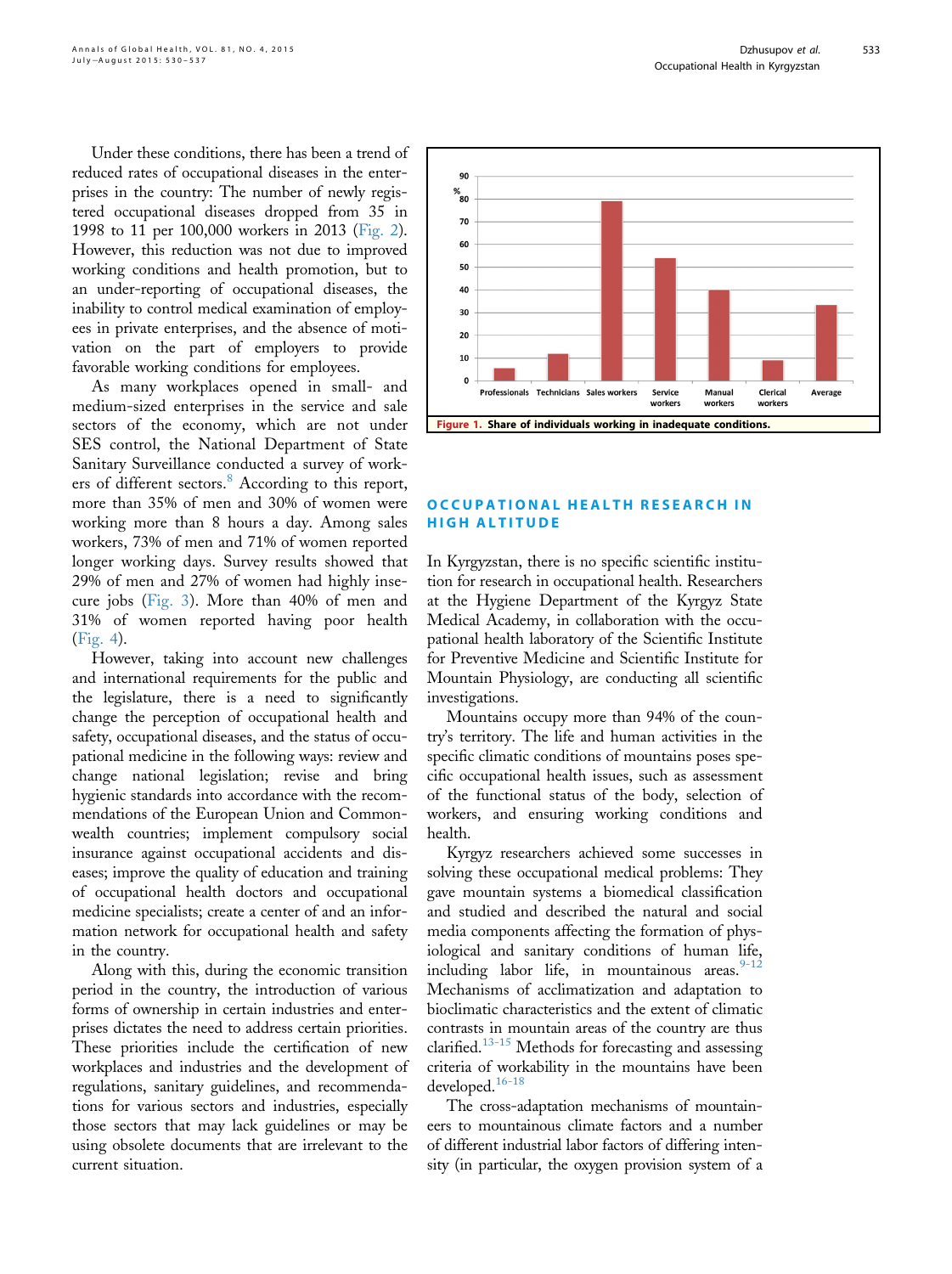<span id="page-3-0"></span>Under these conditions, there has been a trend of reduced rates of occupational diseases in the enterprises in the country: The number of newly registered occupational diseases dropped from 35 in 1998 to 11 per 100,000 workers in 2013 [\(Fig. 2\)](#page-4-0). However, this reduction was not due to improved working conditions and health promotion, but to an under-reporting of occupational diseases, the inability to control medical examination of employees in private enterprises, and the absence of motivation on the part of employers to provide favorable working conditions for employees.

As many workplaces opened in small- and medium-sized enterprises in the service and sale sectors of the economy, which are not under SES control, the National Department of State Sanitary Surveillance conducted a survey of work-ers of different sectors.<sup>[8](#page-7-0)</sup> According to this report, more than 35% of men and 30% of women were working more than 8 hours a day. Among sales workers, 73% of men and 71% of women reported longer working days. Survey results showed that 29% of men and 27% of women had highly insecure jobs [\(Fig. 3\)](#page-4-0). More than 40% of men and 31% of women reported having poor health ([Fig. 4](#page-5-0)).

However, taking into account new challenges and international requirements for the public and the legislature, there is a need to significantly change the perception of occupational health and safety, occupational diseases, and the status of occupational medicine in the following ways: review and change national legislation; revise and bring hygienic standards into accordance with the recommendations of the European Union and Commonwealth countries; implement compulsory social insurance against occupational accidents and diseases; improve the quality of education and training of occupational health doctors and occupational medicine specialists; create a center of and an information network for occupational health and safety in the country.

Along with this, during the economic transition period in the country, the introduction of various forms of ownership in certain industries and enterprises dictates the need to address certain priorities. These priorities include the certification of new workplaces and industries and the development of regulations, sanitary guidelines, and recommendations for various sectors and industries, especially those sectors that may lack guidelines or may be using obsolete documents that are irrelevant to the current situation.



## OCCUPATIONAL HEALTH RESEARCH IN HIGH ALTITUDE

In Kyrgyzstan, there is no specific scientific institution for research in occupational health. Researchers at the Hygiene Department of the Kyrgyz State Medical Academy, in collaboration with the occupational health laboratory of the Scientific Institute for Preventive Medicine and Scientific Institute for Mountain Physiology, are conducting all scientific investigations.

Mountains occupy more than 94% of the country's territory. The life and human activities in the specific climatic conditions of mountains poses specific occupational health issues, such as assessment of the functional status of the body, selection of workers, and ensuring working conditions and health.

Kyrgyz researchers achieved some successes in solving these occupational medical problems: They gave mountain systems a biomedical classification and studied and described the natural and social media components affecting the formation of physiological and sanitary conditions of human life, including labor life, in mountainous areas. $9-12$ Mechanisms of acclimatization and adaptation to bioclimatic characteristics and the extent of climatic contrasts in mountain areas of the country are thus clarified. $13-15$  Methods for forecasting and assessing criteria of workability in the mountains have been developed.<sup>[16-18](#page-7-0)</sup>

The cross-adaptation mechanisms of mountaineers to mountainous climate factors and a number of different industrial labor factors of differing intensity (in particular, the oxygen provision system of a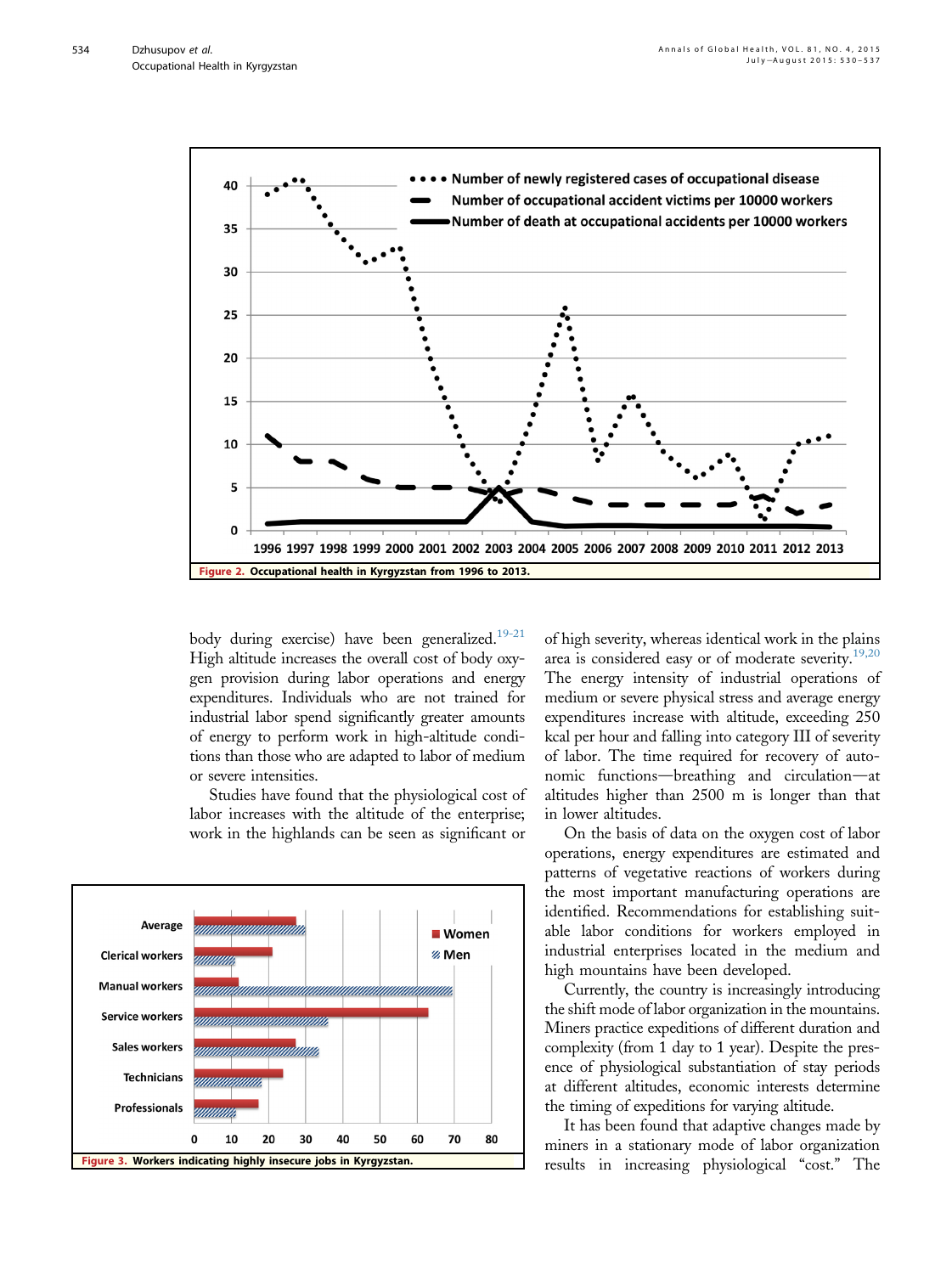<span id="page-4-0"></span>

body during exercise) have been generalized.<sup>19-21</sup> High altitude increases the overall cost of body oxygen provision during labor operations and energy expenditures. Individuals who are not trained for industrial labor spend significantly greater amounts of energy to perform work in high-altitude conditions than those who are adapted to labor of medium or severe intensities.

Studies have found that the physiological cost of labor increases with the altitude of the enterprise; work in the highlands can be seen as significant or



of high severity, whereas identical work in the plains area is considered easy or of moderate severity. $19,20$ The energy intensity of industrial operations of medium or severe physical stress and average energy expenditures increase with altitude, exceeding 250 kcal per hour and falling into category III of severity of labor. The time required for recovery of autonomic functions—breathing and circulation—at altitudes higher than 2500 m is longer than that in lower altitudes.

On the basis of data on the oxygen cost of labor operations, energy expenditures are estimated and patterns of vegetative reactions of workers during the most important manufacturing operations are identified. Recommendations for establishing suitable labor conditions for workers employed in industrial enterprises located in the medium and high mountains have been developed.

Currently, the country is increasingly introducing the shift mode of labor organization in the mountains. Miners practice expeditions of different duration and complexity (from 1 day to 1 year). Despite the presence of physiological substantiation of stay periods at different altitudes, economic interests determine the timing of expeditions for varying altitude.

It has been found that adaptive changes made by miners in a stationary mode of labor organization results in increasing physiological "cost." The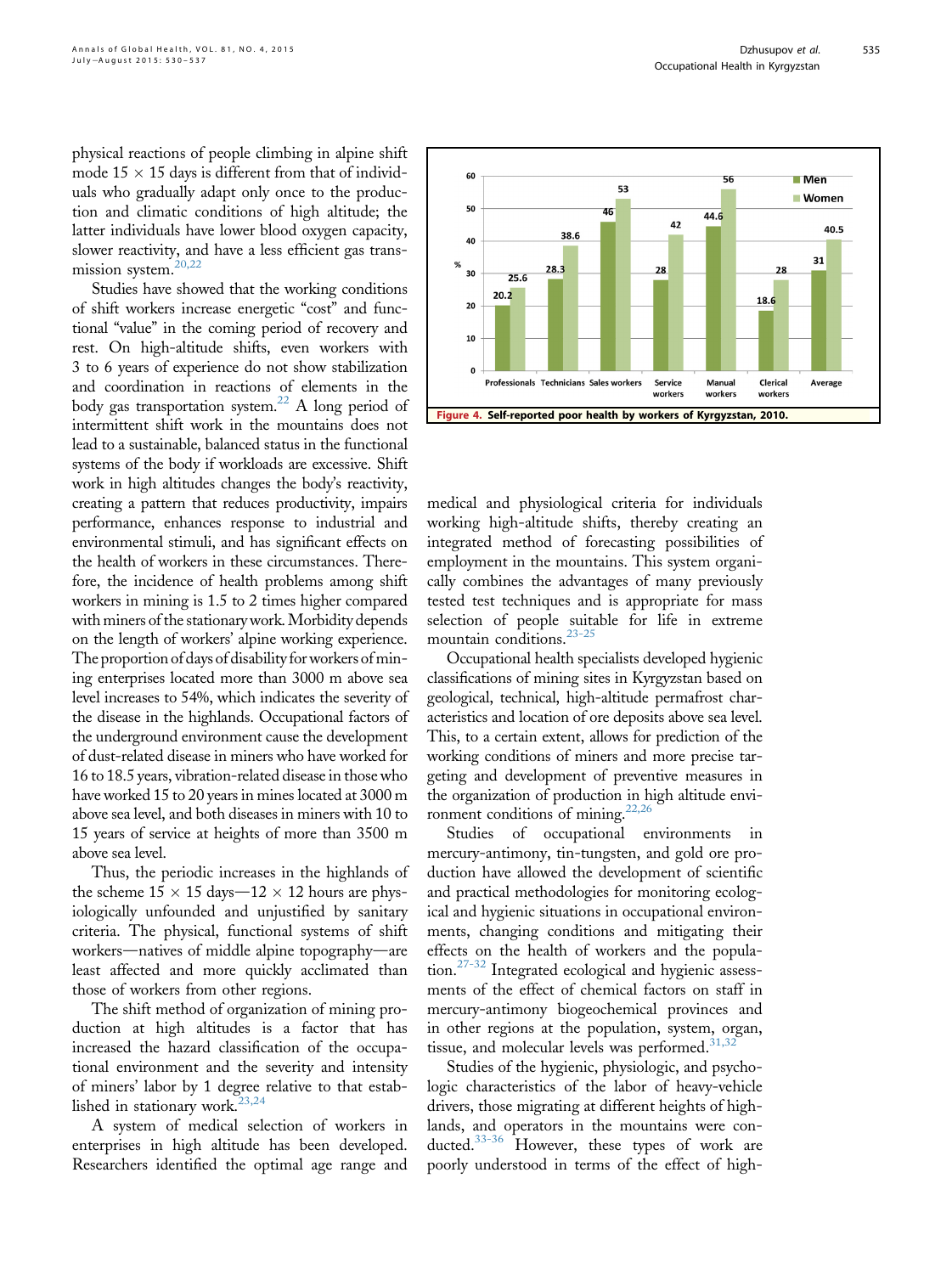<span id="page-5-0"></span>physical reactions of people climbing in alpine shift mode  $15 \times 15$  days is different from that of individuals who gradually adapt only once to the production and climatic conditions of high altitude; the latter individuals have lower blood oxygen capacity, slower reactivity, and have a less efficient gas transmission system.[20,22](#page-7-0)

Studies have showed that the working conditions of shift workers increase energetic "cost" and functional "value" in the coming period of recovery and rest. On high-altitude shifts, even workers with 3 to 6 years of experience do not show stabilization and coordination in reactions of elements in the body gas transportation system.<sup>22</sup> A long period of intermittent shift work in the mountains does not lead to a sustainable, balanced status in the functional systems of the body if workloads are excessive. Shift work in high altitudes changes the body's reactivity, creating a pattern that reduces productivity, impairs performance, enhances response to industrial and environmental stimuli, and has significant effects on the health of workers in these circumstances. Therefore, the incidence of health problems among shift workers in mining is 1.5 to 2 times higher compared with miners of the stationary work. Morbidity depends on the length of workers' alpine working experience. The proportion of days of disability for workers of mining enterprises located more than 3000 m above sea level increases to 54%, which indicates the severity of the disease in the highlands. Occupational factors of the underground environment cause the development of dust-related disease in miners who have worked for 16 to 18.5 years, vibration-related disease in those who have worked 15 to 20 years in mines located at 3000 m above sea level, and both diseases in miners with 10 to 15 years of service at heights of more than 3500 m above sea level.

Thus, the periodic increases in the highlands of the scheme  $15 \times 15$  days $-12 \times 12$  hours are physiologically unfounded and unjustified by sanitary criteria. The physical, functional systems of shift workers—natives of middle alpine topography—are least affected and more quickly acclimated than those of workers from other regions.

The shift method of organization of mining production at high altitudes is a factor that has increased the hazard classification of the occupational environment and the severity and intensity of miners' labor by 1 degree relative to that estab-lished in stationary work.<sup>[23,24](#page-7-0)</sup>

A system of medical selection of workers in enterprises in high altitude has been developed. Researchers identified the optimal age range and



medical and physiological criteria for individuals working high-altitude shifts, thereby creating an integrated method of forecasting possibilities of employment in the mountains. This system organically combines the advantages of many previously tested test techniques and is appropriate for mass selection of people suitable for life in extreme mountain conditions. $23-25$ 

Occupational health specialists developed hygienic classifications of mining sites in Kyrgyzstan based on geological, technical, high-altitude permafrost characteristics and location of ore deposits above sea level. This, to a certain extent, allows for prediction of the working conditions of miners and more precise targeting and development of preventive measures in the organization of production in high altitude environment conditions of mining.<sup>22,26</sup>

Studies of occupational environments in mercury-antimony, tin-tungsten, and gold ore production have allowed the development of scientific and practical methodologies for monitoring ecological and hygienic situations in occupational environments, changing conditions and mitigating their effects on the health of workers and the population.[27-32](#page-7-0) Integrated ecological and hygienic assessments of the effect of chemical factors on staff in mercury-antimony biogeochemical provinces and in other regions at the population, system, organ, tissue, and molecular levels was performed. $31,32$ 

Studies of the hygienic, physiologic, and psychologic characteristics of the labor of heavy-vehicle drivers, those migrating at different heights of highlands, and operators in the mountains were conducted.[33-36](#page-7-0) However, these types of work are poorly understood in terms of the effect of high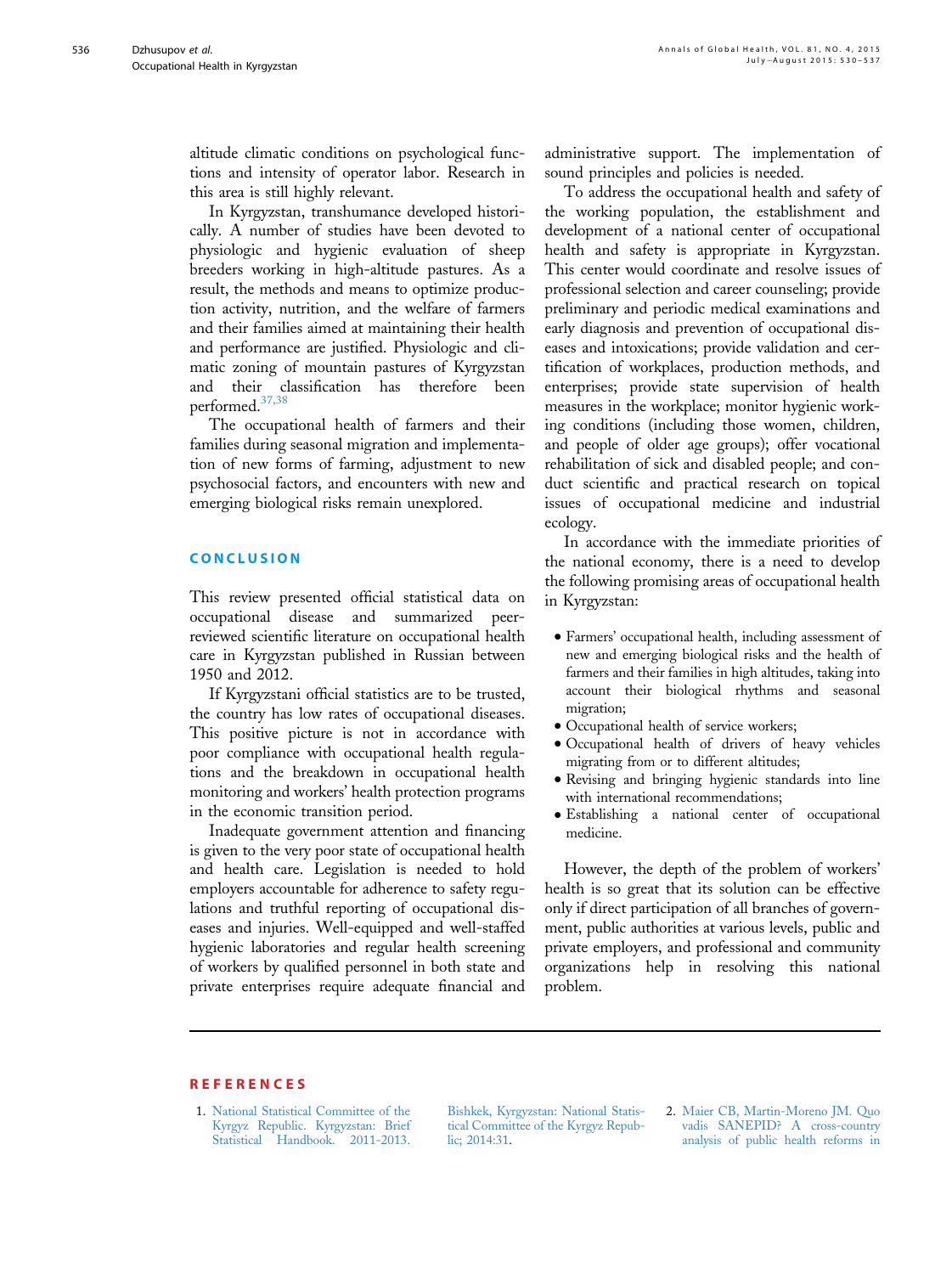<span id="page-6-0"></span>altitude climatic conditions on psychological functions and intensity of operator labor. Research in this area is still highly relevant.

In Kyrgyzstan, transhumance developed historically. A number of studies have been devoted to physiologic and hygienic evaluation of sheep breeders working in high-altitude pastures. As a result, the methods and means to optimize production activity, nutrition, and the welfare of farmers and their families aimed at maintaining their health and performance are justified. Physiologic and climatic zoning of mountain pastures of Kyrgyzstan and their classification has therefore been performed[.37,38](#page-7-0)

The occupational health of farmers and their families during seasonal migration and implementation of new forms of farming, adjustment to new psychosocial factors, and encounters with new and emerging biological risks remain unexplored.

#### CONCLUSION

This review presented official statistical data on occupational disease and summarized peerreviewed scientific literature on occupational health care in Kyrgyzstan published in Russian between 1950 and 2012.

If Kyrgyzstani official statistics are to be trusted, the country has low rates of occupational diseases. This positive picture is not in accordance with poor compliance with occupational health regulations and the breakdown in occupational health monitoring and workers' health protection programs in the economic transition period.

Inadequate government attention and financing is given to the very poor state of occupational health and health care. Legislation is needed to hold employers accountable for adherence to safety regulations and truthful reporting of occupational diseases and injuries. Well-equipped and well-staffed hygienic laboratories and regular health screening of workers by qualified personnel in both state and private enterprises require adequate financial and

administrative support. The implementation of sound principles and policies is needed.

To address the occupational health and safety of the working population, the establishment and development of a national center of occupational health and safety is appropriate in Kyrgyzstan. This center would coordinate and resolve issues of professional selection and career counseling; provide preliminary and periodic medical examinations and early diagnosis and prevention of occupational diseases and intoxications; provide validation and certification of workplaces, production methods, and enterprises; provide state supervision of health measures in the workplace; monitor hygienic working conditions (including those women, children, and people of older age groups); offer vocational rehabilitation of sick and disabled people; and conduct scientific and practical research on topical issues of occupational medicine and industrial ecology.

In accordance with the immediate priorities of the national economy, there is a need to develop the following promising areas of occupational health in Kyrgyzstan:

- <sup>d</sup> Farmers' occupational health, including assessment of new and emerging biological risks and the health of farmers and their families in high altitudes, taking into account their biological rhythms and seasonal migration;
- $\bullet$  Occupational health of service workers;
- <sup>d</sup> Occupational health of drivers of heavy vehicles migrating from or to different altitudes;
- Revising and bringing hygienic standards into line with international recommendations;
- <sup>d</sup> Establishing a national center of occupational medicine.

However, the depth of the problem of workers' health is so great that its solution can be effective only if direct participation of all branches of government, public authorities at various levels, public and private employers, and professional and community organizations help in resolving this national problem.

## **REFERENCES**

1. [National Statistical Committee of the](http://refhub.elsevier.com/S2214-9996(15)01233-3/sref1) [Kyrgyz Republic. Kyrgyzstan: Brief](http://refhub.elsevier.com/S2214-9996(15)01233-3/sref1) [Statistical Handbook. 2011-2013.](http://refhub.elsevier.com/S2214-9996(15)01233-3/sref1)

[Bishkek, Kyrgyzstan: National Statis](http://refhub.elsevier.com/S2214-9996(15)01233-3/sref1)[tical Committee of the Kyrgyz Repub](http://refhub.elsevier.com/S2214-9996(15)01233-3/sref1)[lic; 2014:31.](http://refhub.elsevier.com/S2214-9996(15)01233-3/sref1)

2. [Maier CB, Martin-Moreno JM. Quo](http://refhub.elsevier.com/S2214-9996(15)01233-3/sref2) [vadis SANEPID? A cross-country](http://refhub.elsevier.com/S2214-9996(15)01233-3/sref2) [analysis of public health reforms in](http://refhub.elsevier.com/S2214-9996(15)01233-3/sref2)